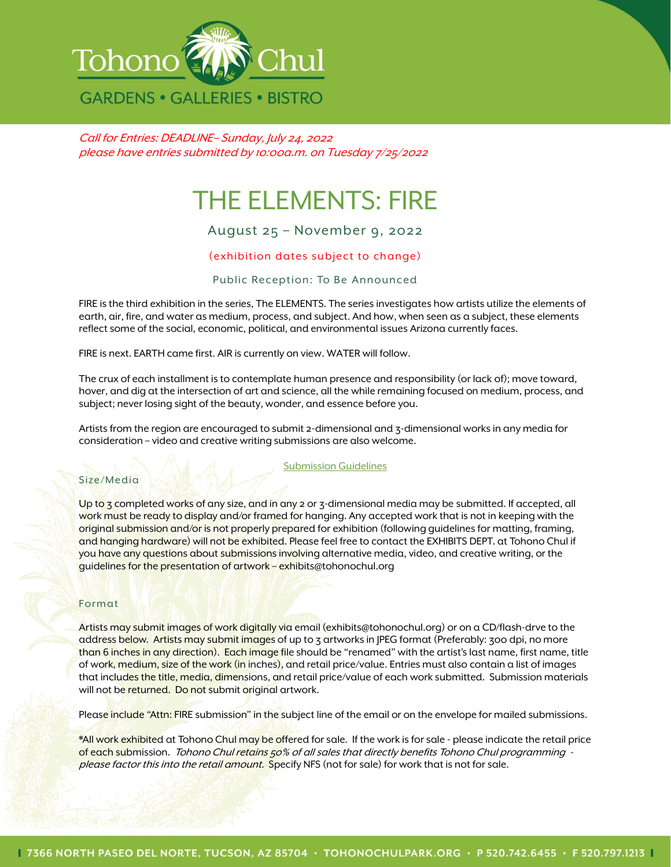

Call for Entries: DEADLINE– Sunday, July 24, 2022 please have entries submitted by 10:00a.m. on Tuesday 7/25/2022

# THE ELEMENTS: FIRE

## August 25 – November 9, 2022

### (exhibition dates subject to change)

#### Public Reception: To Be Announced

FIRE is the third exhibition in the series, The ELEMENTS. The series investigates how artists utilize the elements of earth, air, fire, and water as medium, process, and subject. And how, when seen as a subject, these elements reflect some of the social, economic, political, and environmental issues Arizona currently faces.

FIRE is next. EARTH came first. AIR is currently on view. WATER will follow.

The crux of each installment is to contemplate human presence and responsibility (or lack of); move toward, hover, and dig at the intersection of art and science, all the while remaining focused on medium, process, and subject; never losing sight of the beauty, wonder, and essence before you.

Artists from the region are encouraged to submit 2-dimensional and 3-dimensional works in any media for consideration – video and creative writing submissions are also welcome.

#### Submission Guidelines

#### Size/Media

Up to 3 completed works of any size, and in any 2 or 3-dimensional media may be submitted. If accepted, all work must be ready to display and/or framed for hanging. Any accepted work that is not in keeping with the original submission and/or is not properly prepared for exhibition (following guidelines for matting, framing, and hanging hardware) will not be exhibited. Please feel free to contact the EXHIBITS DEPT. at Tohono Chul if you have any questions about submissions involving alternative media, video, and creative writing, or the guidelines for the presentation of artwork – exhibit[s@tohonochul.org](mailto:ngeorge@tohonochul.org)

#### Format

Artists may submit images of work digitally via email (exhibits[@tohonochul.org\)](mailto:ngeorge@tohonochul.org) or on a CD/flash-drve to the address below. Artists may submit images of up to 3 artworks in JPEG format (Preferably: 300 dpi, no more than 6 inches in any direction). Each image file should be "renamed" with the artist's last name, first name, title of work, medium, size of the work (in inches), and retail price/value. Entries must also contain a list of images that includes the title, media, dimensions, and retail price/value of each work submitted. Submission materials will not be returned. Do not submit original artwork.

Please include "Attn: FIRE submission" in the subject line of the email or on the envelope for mailed submissions.

\*All work exhibited at Tohono Chul may be offered for sale. If the work is for sale - please indicate the retail price of each submission. Tohono Chul retains 50% of all sales that directly benefits Tohono Chul programming please factor this into the retail amount. Specify NFS (not for sale) for work that is not for sale.